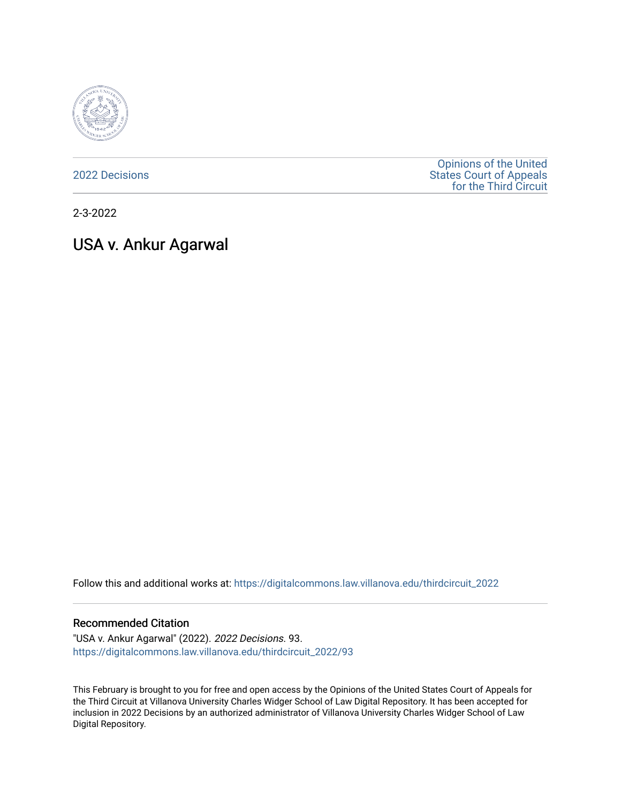

[2022 Decisions](https://digitalcommons.law.villanova.edu/thirdcircuit_2022)

[Opinions of the United](https://digitalcommons.law.villanova.edu/thirdcircuit)  [States Court of Appeals](https://digitalcommons.law.villanova.edu/thirdcircuit)  [for the Third Circuit](https://digitalcommons.law.villanova.edu/thirdcircuit) 

2-3-2022

# USA v. Ankur Agarwal

Follow this and additional works at: [https://digitalcommons.law.villanova.edu/thirdcircuit\\_2022](https://digitalcommons.law.villanova.edu/thirdcircuit_2022?utm_source=digitalcommons.law.villanova.edu%2Fthirdcircuit_2022%2F93&utm_medium=PDF&utm_campaign=PDFCoverPages) 

## Recommended Citation

"USA v. Ankur Agarwal" (2022). 2022 Decisions. 93. [https://digitalcommons.law.villanova.edu/thirdcircuit\\_2022/93](https://digitalcommons.law.villanova.edu/thirdcircuit_2022/93?utm_source=digitalcommons.law.villanova.edu%2Fthirdcircuit_2022%2F93&utm_medium=PDF&utm_campaign=PDFCoverPages)

This February is brought to you for free and open access by the Opinions of the United States Court of Appeals for the Third Circuit at Villanova University Charles Widger School of Law Digital Repository. It has been accepted for inclusion in 2022 Decisions by an authorized administrator of Villanova University Charles Widger School of Law Digital Repository.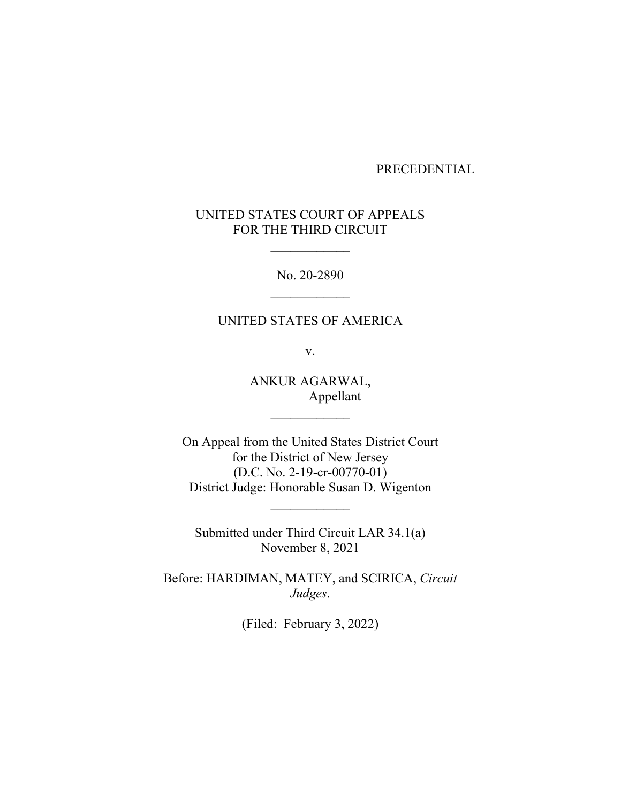## PRECEDENTIAL

# UNITED STATES COURT OF APPEALS FOR THE THIRD CIRCUIT

No. 20-2890

# UNITED STATES OF AMERICA

v.

ANKUR AGARWAL, Appellant

On Appeal from the United States District Court for the District of New Jersey (D.C. No. 2-19-cr-00770-01) District Judge: Honorable Susan D. Wigenton

Submitted under Third Circuit LAR 34.1(a) November 8, 2021

Before: HARDIMAN, MATEY, and SCIRICA, *Circuit Judges*.

(Filed: February 3, 2022)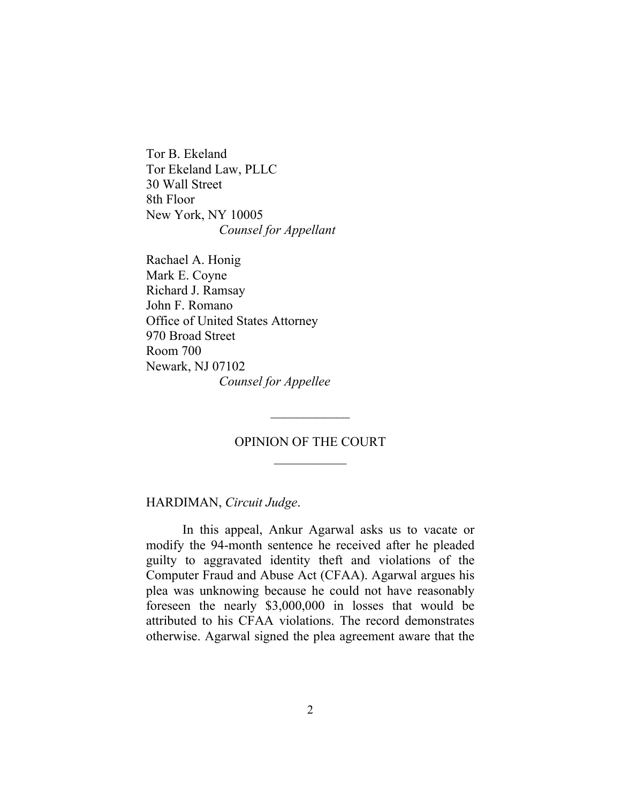Tor B. Ekeland Tor Ekeland Law, PLLC 30 Wall Street 8th Floor New York, NY 10005 *Counsel for Appellant*

Rachael A. Honig Mark E. Coyne Richard J. Ramsay John F. Romano Office of United States Attorney 970 Broad Street Room 700 Newark, NJ 07102 *Counsel for Appellee*

## OPINION OF THE COURT

HARDIMAN, *Circuit Judge*.

In this appeal, Ankur Agarwal asks us to vacate or modify the 94-month sentence he received after he pleaded guilty to aggravated identity theft and violations of the Computer Fraud and Abuse Act (CFAA). Agarwal argues his plea was unknowing because he could not have reasonably foreseen the nearly \$3,000,000 in losses that would be attributed to his CFAA violations. The record demonstrates otherwise. Agarwal signed the plea agreement aware that the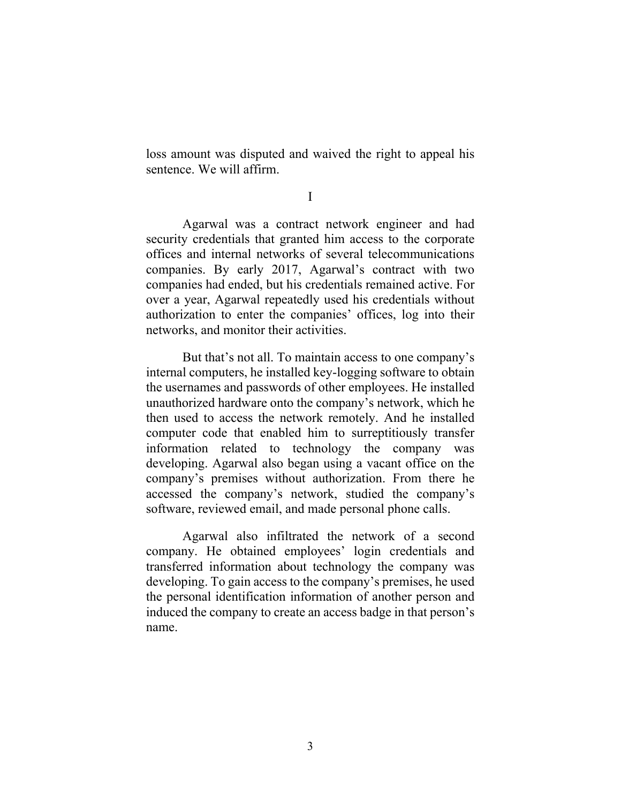loss amount was disputed and waived the right to appeal his sentence. We will affirm.

I

Agarwal was a contract network engineer and had security credentials that granted him access to the corporate offices and internal networks of several telecommunications companies. By early 2017, Agarwal's contract with two companies had ended, but his credentials remained active. For over a year, Agarwal repeatedly used his credentials without authorization to enter the companies' offices, log into their networks, and monitor their activities.

But that's not all. To maintain access to one company's internal computers, he installed key-logging software to obtain the usernames and passwords of other employees. He installed unauthorized hardware onto the company's network, which he then used to access the network remotely. And he installed computer code that enabled him to surreptitiously transfer information related to technology the company was developing. Agarwal also began using a vacant office on the company's premises without authorization. From there he accessed the company's network, studied the company's software, reviewed email, and made personal phone calls.

Agarwal also infiltrated the network of a second company. He obtained employees' login credentials and transferred information about technology the company was developing. To gain access to the company's premises, he used the personal identification information of another person and induced the company to create an access badge in that person's name.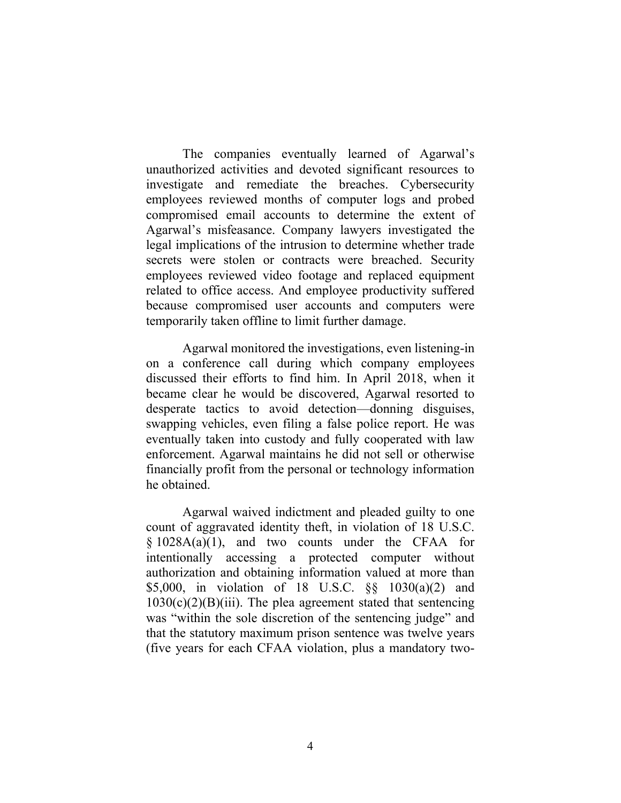The companies eventually learned of Agarwal's unauthorized activities and devoted significant resources to investigate and remediate the breaches. Cybersecurity employees reviewed months of computer logs and probed compromised email accounts to determine the extent of Agarwal's misfeasance. Company lawyers investigated the legal implications of the intrusion to determine whether trade secrets were stolen or contracts were breached. Security employees reviewed video footage and replaced equipment related to office access. And employee productivity suffered because compromised user accounts and computers were temporarily taken offline to limit further damage.

Agarwal monitored the investigations, even listening-in on a conference call during which company employees discussed their efforts to find him. In April 2018, when it became clear he would be discovered, Agarwal resorted to desperate tactics to avoid detection—donning disguises, swapping vehicles, even filing a false police report. He was eventually taken into custody and fully cooperated with law enforcement. Agarwal maintains he did not sell or otherwise financially profit from the personal or technology information he obtained.

Agarwal waived indictment and pleaded guilty to one count of aggravated identity theft, in violation of 18 U.S.C.  $§ 1028A(a)(1)$ , and two counts under the CFAA for intentionally accessing a protected computer without authorization and obtaining information valued at more than \$5,000, in violation of 18 U.S.C. §§ 1030(a)(2) and  $1030(c)(2)(B)(iii)$ . The plea agreement stated that sentencing was "within the sole discretion of the sentencing judge" and that the statutory maximum prison sentence was twelve years (five years for each CFAA violation, plus a mandatory two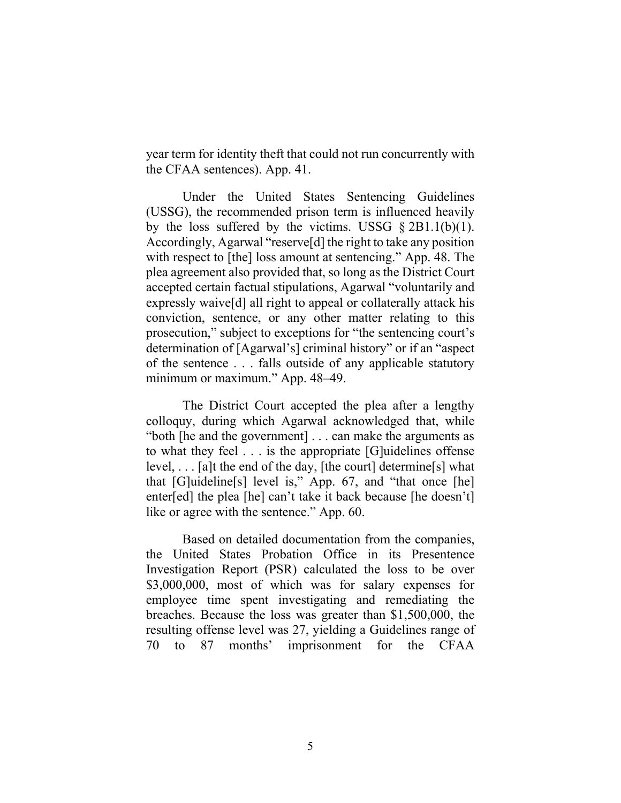year term for identity theft that could not run concurrently with the CFAA sentences). App. 41.

Under the United States Sentencing Guidelines (USSG), the recommended prison term is influenced heavily by the loss suffered by the victims. USSG  $\S 2B1.1(b)(1)$ . Accordingly, Agarwal "reserve[d] the right to take any position with respect to [the] loss amount at sentencing." App. 48. The plea agreement also provided that, so long as the District Court accepted certain factual stipulations, Agarwal "voluntarily and expressly waive[d] all right to appeal or collaterally attack his conviction, sentence, or any other matter relating to this prosecution," subject to exceptions for "the sentencing court's determination of [Agarwal's] criminal history" or if an "aspect of the sentence . . . falls outside of any applicable statutory minimum or maximum." App. 48–49.

The District Court accepted the plea after a lengthy colloquy, during which Agarwal acknowledged that, while "both [he and the government] . . . can make the arguments as to what they feel . . . is the appropriate [G]uidelines offense level, . . . [a]t the end of the day, [the court] determine[s] what that [G]uideline[s] level is," App. 67, and "that once [he] enter[ed] the plea [he] can't take it back because [he doesn't] like or agree with the sentence." App. 60.

Based on detailed documentation from the companies, the United States Probation Office in its Presentence Investigation Report (PSR) calculated the loss to be over \$3,000,000, most of which was for salary expenses for employee time spent investigating and remediating the breaches. Because the loss was greater than \$1,500,000, the resulting offense level was 27, yielding a Guidelines range of 70 to 87 months' imprisonment for the CFAA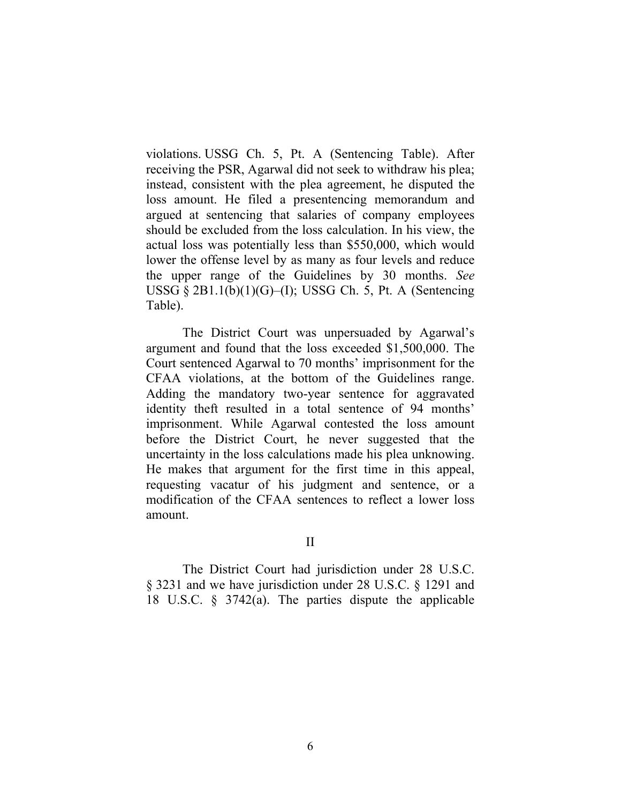violations. USSG Ch. 5, Pt. A (Sentencing Table). After receiving the PSR, Agarwal did not seek to withdraw his plea; instead, consistent with the plea agreement, he disputed the loss amount. He filed a presentencing memorandum and argued at sentencing that salaries of company employees should be excluded from the loss calculation. In his view, the actual loss was potentially less than \$550,000, which would lower the offense level by as many as four levels and reduce the upper range of the Guidelines by 30 months. *See*  USSG  $\S 2B1.1(b)(1)(G)$ –(I); USSG Ch. 5, Pt. A (Sentencing Table).

The District Court was unpersuaded by Agarwal's argument and found that the loss exceeded \$1,500,000. The Court sentenced Agarwal to 70 months' imprisonment for the CFAA violations, at the bottom of the Guidelines range. Adding the mandatory two-year sentence for aggravated identity theft resulted in a total sentence of 94 months' imprisonment. While Agarwal contested the loss amount before the District Court, he never suggested that the uncertainty in the loss calculations made his plea unknowing. He makes that argument for the first time in this appeal, requesting vacatur of his judgment and sentence, or a modification of the CFAA sentences to reflect a lower loss amount.

II

The District Court had jurisdiction under 28 U.S.C. § 3231 and we have jurisdiction under 28 U.S.C. § 1291 and 18 U.S.C. § 3742(a). The parties dispute the applicable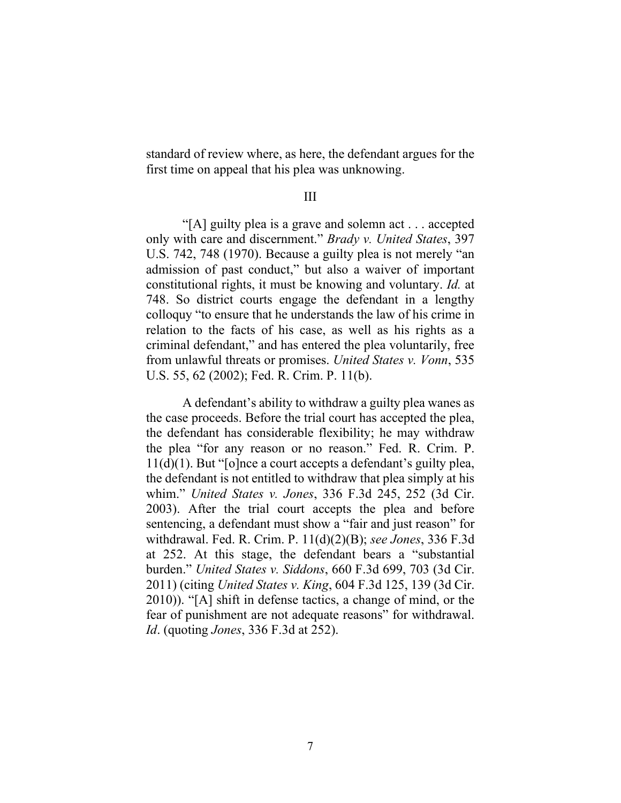standard of review where, as here, the defendant argues for the first time on appeal that his plea was unknowing.

### III

"[A] guilty plea is a grave and solemn act . . . accepted only with care and discernment." *Brady v. United States*, 397 U.S. 742, 748 (1970). Because a guilty plea is not merely "an admission of past conduct," but also a waiver of important constitutional rights, it must be knowing and voluntary. *Id.* at 748. So district courts engage the defendant in a lengthy colloquy "to ensure that he understands the law of his crime in relation to the facts of his case, as well as his rights as a criminal defendant," and has entered the plea voluntarily, free from unlawful threats or promises. *United States v. Vonn*, 535 U.S. 55, 62 (2002); Fed. R. Crim. P. 11(b).

A defendant's ability to withdraw a guilty plea wanes as the case proceeds. Before the trial court has accepted the plea, the defendant has considerable flexibility; he may withdraw the plea "for any reason or no reason." Fed. R. Crim. P. 11(d)(1). But "[o]nce a court accepts a defendant's guilty plea, the defendant is not entitled to withdraw that plea simply at his whim." *United States v. Jones*, 336 F.3d 245, 252 (3d Cir. 2003). After the trial court accepts the plea and before sentencing, a defendant must show a "fair and just reason" for withdrawal. Fed. R. Crim. P. 11(d)(2)(B); *see Jones*, 336 F.3d at 252. At this stage, the defendant bears a "substantial burden." *United States v. Siddons*, 660 F.3d 699, 703 (3d Cir. 2011) (citing *United States v. King*, 604 F.3d 125, 139 (3d Cir. 2010)). "[A] shift in defense tactics, a change of mind, or the fear of punishment are not adequate reasons" for withdrawal. *Id*. (quoting *Jones*, 336 F.3d at 252).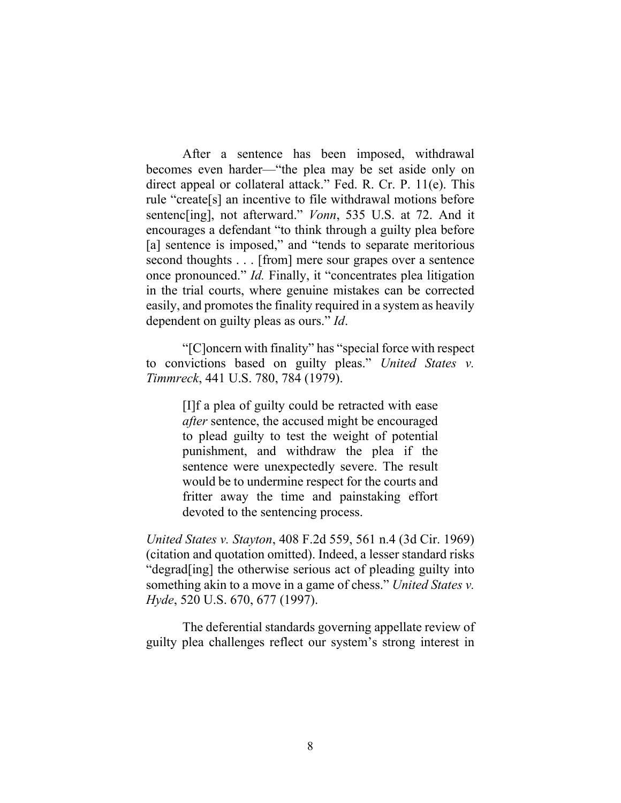After a sentence has been imposed, withdrawal becomes even harder—"the plea may be set aside only on direct appeal or collateral attack." Fed. R. Cr. P. 11(e). This rule "create[s] an incentive to file withdrawal motions before sentenc[ing], not afterward." *Vonn*, 535 U.S. at 72. And it encourages a defendant "to think through a guilty plea before [a] sentence is imposed," and "tends to separate meritorious second thoughts . . . [from] mere sour grapes over a sentence once pronounced." *Id.* Finally, it "concentrates plea litigation in the trial courts, where genuine mistakes can be corrected easily, and promotes the finality required in a system as heavily dependent on guilty pleas as ours." *Id*.

"[C]oncern with finality" has "special force with respect to convictions based on guilty pleas." *United States v. Timmreck*, 441 U.S. 780, 784 (1979).

> [I]f a plea of guilty could be retracted with ease *after* sentence, the accused might be encouraged to plead guilty to test the weight of potential punishment, and withdraw the plea if the sentence were unexpectedly severe. The result would be to undermine respect for the courts and fritter away the time and painstaking effort devoted to the sentencing process.

*United States v. Stayton*, 408 F.2d 559, 561 n.4 (3d Cir. 1969) (citation and quotation omitted). Indeed, a lesser standard risks "degrad[ing] the otherwise serious act of pleading guilty into something akin to a move in a game of chess." *United States v. Hyde*, 520 U.S. 670, 677 (1997).

The deferential standards governing appellate review of guilty plea challenges reflect our system's strong interest in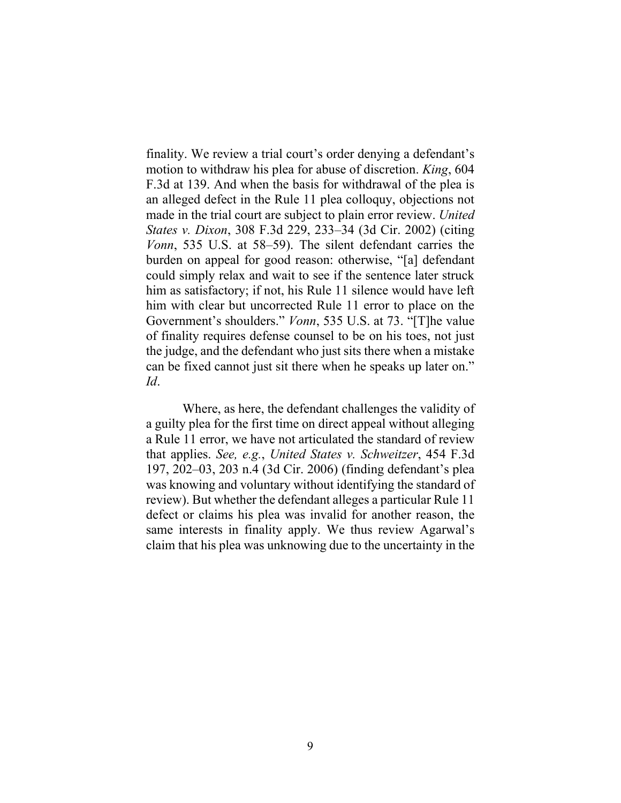finality. We review a trial court's order denying a defendant's motion to withdraw his plea for abuse of discretion. *King*, 604 F.3d at 139. And when the basis for withdrawal of the plea is an alleged defect in the Rule 11 plea colloquy, objections not made in the trial court are subject to plain error review. *United States v. Dixon*, 308 F.3d 229, 233–34 (3d Cir. 2002) (citing *Vonn*, 535 U.S. at 58–59). The silent defendant carries the burden on appeal for good reason: otherwise, "[a] defendant could simply relax and wait to see if the sentence later struck him as satisfactory; if not, his Rule 11 silence would have left him with clear but uncorrected Rule 11 error to place on the Government's shoulders." *Vonn*, 535 U.S. at 73. "[T]he value of finality requires defense counsel to be on his toes, not just the judge, and the defendant who just sits there when a mistake can be fixed cannot just sit there when he speaks up later on." *Id*.

Where, as here, the defendant challenges the validity of a guilty plea for the first time on direct appeal without alleging a Rule 11 error, we have not articulated the standard of review that applies. *See, e.g.*, *United States v. Schweitzer*, 454 F.3d 197, 202–03, 203 n.4 (3d Cir. 2006) (finding defendant's plea was knowing and voluntary without identifying the standard of review). But whether the defendant alleges a particular Rule 11 defect or claims his plea was invalid for another reason, the same interests in finality apply. We thus review Agarwal's claim that his plea was unknowing due to the uncertainty in the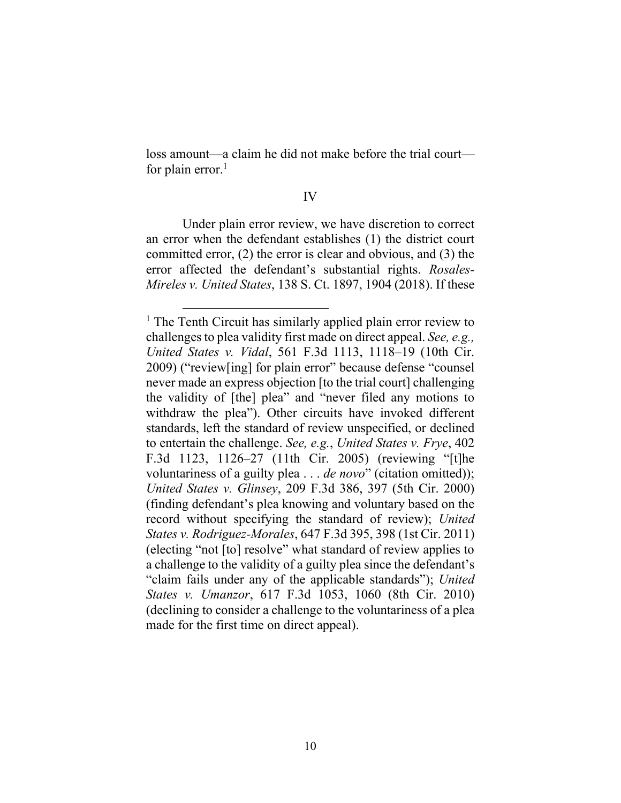loss amount—a claim he did not make before the trial court for plain error. $<sup>1</sup>$ </sup>

#### IV

Under plain error review, we have discretion to correct an error when the defendant establishes (1) the district court committed error, (2) the error is clear and obvious, and (3) the error affected the defendant's substantial rights. *Rosales-Mireles v. United States*, 138 S. Ct. 1897, 1904 (2018). If these

<sup>&</sup>lt;sup>1</sup> The Tenth Circuit has similarly applied plain error review to challenges to plea validity first made on direct appeal. *See, e.g., United States v. Vidal*, 561 F.3d 1113, 1118–19 (10th Cir. 2009) ("review[ing] for plain error" because defense "counsel never made an express objection [to the trial court] challenging the validity of [the] plea" and "never filed any motions to withdraw the plea"). Other circuits have invoked different standards, left the standard of review unspecified, or declined to entertain the challenge. *See, e.g.*, *United States v. Frye*, 402 F.3d 1123, 1126–27 (11th Cir. 2005) (reviewing "[t]he voluntariness of a guilty plea . . . *de novo*" (citation omitted)); *United States v. Glinsey*, 209 F.3d 386, 397 (5th Cir. 2000) (finding defendant's plea knowing and voluntary based on the record without specifying the standard of review); *United States v. Rodriguez-Morales*, 647 F.3d 395, 398 (1st Cir. 2011) (electing "not [to] resolve" what standard of review applies to a challenge to the validity of a guilty plea since the defendant's "claim fails under any of the applicable standards"); *United States v. Umanzor*, 617 F.3d 1053, 1060 (8th Cir. 2010) (declining to consider a challenge to the voluntariness of a plea made for the first time on direct appeal).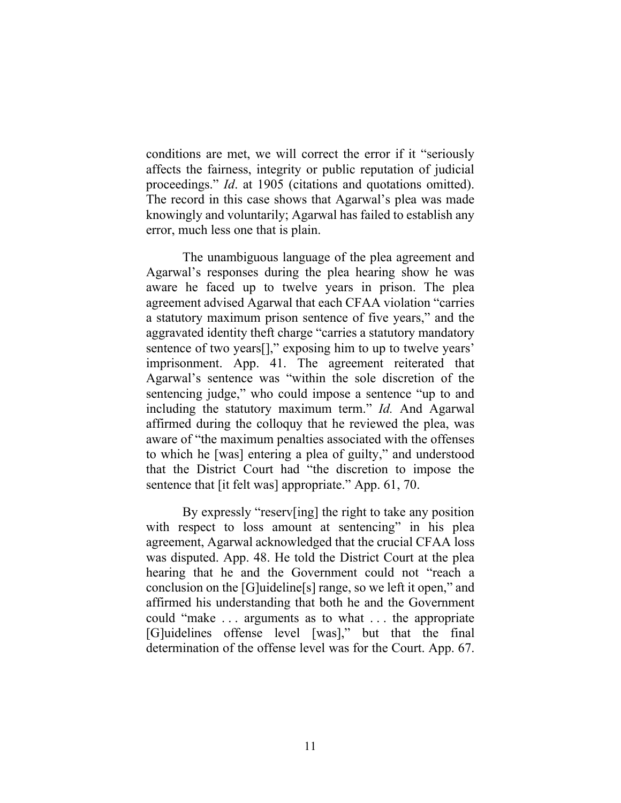conditions are met, we will correct the error if it "seriously affects the fairness, integrity or public reputation of judicial proceedings." *Id*. at 1905 (citations and quotations omitted). The record in this case shows that Agarwal's plea was made knowingly and voluntarily; Agarwal has failed to establish any error, much less one that is plain.

The unambiguous language of the plea agreement and Agarwal's responses during the plea hearing show he was aware he faced up to twelve years in prison. The plea agreement advised Agarwal that each CFAA violation "carries a statutory maximum prison sentence of five years," and the aggravated identity theft charge "carries a statutory mandatory sentence of two years[]," exposing him to up to twelve years' imprisonment. App. 41. The agreement reiterated that Agarwal's sentence was "within the sole discretion of the sentencing judge," who could impose a sentence "up to and including the statutory maximum term." *Id.* And Agarwal affirmed during the colloquy that he reviewed the plea, was aware of "the maximum penalties associated with the offenses to which he [was] entering a plea of guilty," and understood that the District Court had "the discretion to impose the sentence that [it felt was] appropriate." App. 61, 70.

By expressly "reserv[ing] the right to take any position with respect to loss amount at sentencing" in his plea agreement, Agarwal acknowledged that the crucial CFAA loss was disputed. App. 48. He told the District Court at the plea hearing that he and the Government could not "reach a conclusion on the [G]uideline[s] range, so we left it open," and affirmed his understanding that both he and the Government could "make . . . arguments as to what . . . the appropriate [G]uidelines offense level [was]," but that the final determination of the offense level was for the Court. App. 67.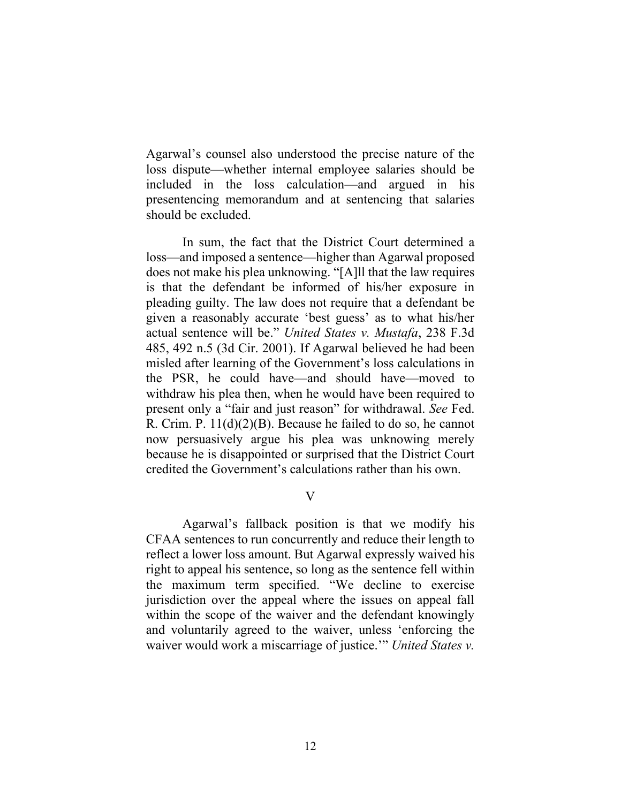Agarwal's counsel also understood the precise nature of the loss dispute—whether internal employee salaries should be included in the loss calculation—and argued in his presentencing memorandum and at sentencing that salaries should be excluded.

In sum, the fact that the District Court determined a loss—and imposed a sentence—higher than Agarwal proposed does not make his plea unknowing. "[A]ll that the law requires is that the defendant be informed of his/her exposure in pleading guilty. The law does not require that a defendant be given a reasonably accurate 'best guess' as to what his/her actual sentence will be." *United States v. Mustafa*, 238 F.3d 485, 492 n.5 (3d Cir. 2001). If Agarwal believed he had been misled after learning of the Government's loss calculations in the PSR, he could have—and should have—moved to withdraw his plea then, when he would have been required to present only a "fair and just reason" for withdrawal. *See* Fed. R. Crim. P. 11(d)(2)(B). Because he failed to do so, he cannot now persuasively argue his plea was unknowing merely because he is disappointed or surprised that the District Court credited the Government's calculations rather than his own.

V

Agarwal's fallback position is that we modify his CFAA sentences to run concurrently and reduce their length to reflect a lower loss amount. But Agarwal expressly waived his right to appeal his sentence, so long as the sentence fell within the maximum term specified. "We decline to exercise jurisdiction over the appeal where the issues on appeal fall within the scope of the waiver and the defendant knowingly and voluntarily agreed to the waiver, unless 'enforcing the waiver would work a miscarriage of justice.'" *United States v.*